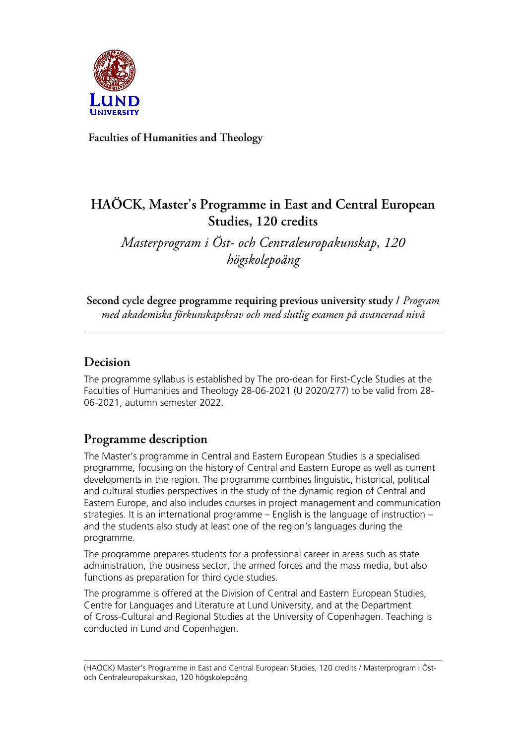

**Faculties of Humanities and Theology**

# **HAÖCK, Master's Programme in East and Central European Studies, 120 credits**

*Masterprogram i Öst- och Centraleuropakunskap, 120 högskolepoäng*

**Second cycle degree programme requiring previous university study /** *Program med akademiska förkunskapskrav och med slutlig examen på avancerad nivå*

## **Decision**

The programme syllabus is established by The pro-dean for First-Cycle Studies at the Faculties of Humanities and Theology 28-06-2021 (U 2020/277) to be valid from 28- 06-2021, autumn semester 2022.

# **Programme description**

The Master's programme in Central and Eastern European Studies is a specialised programme, focusing on the history of Central and Eastern Europe as well as current developments in the region. The programme combines linguistic, historical, political and cultural studies perspectives in the study of the dynamic region of Central and Eastern Europe, and also includes courses in project management and communication strategies. It is an international programme – English is the language of instruction – and the students also study at least one of the region's languages during the programme.

The programme prepares students for a professional career in areas such as state administration, the business sector, the armed forces and the mass media, but also functions as preparation for third cycle studies.

The programme is offered at the Division of Central and Eastern European Studies, Centre for Languages and Literature at Lund University, and at the Department of Cross-Cultural and Regional Studies at the University of Copenhagen. Teaching is conducted in Lund and Copenhagen.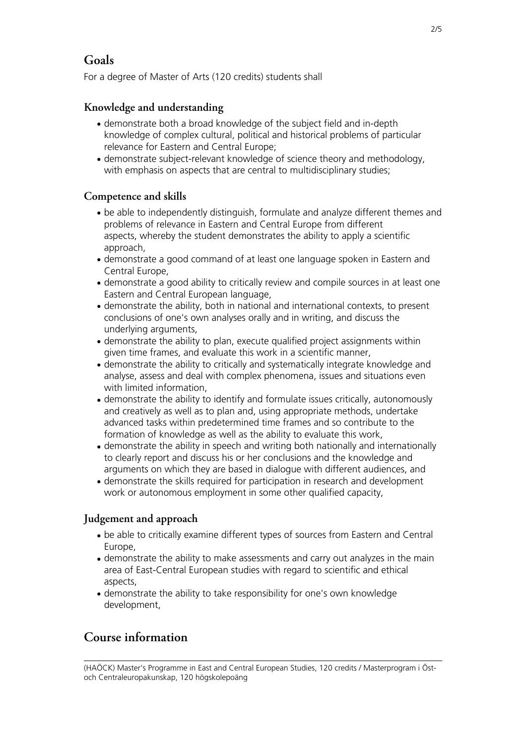## **Goals**

For a degree of Master of Arts (120 credits) students shall

## **Knowledge and understanding**

- demonstrate both a broad knowledge of the subject field and in-depth knowledge of complex cultural, political and historical problems of particular relevance for Eastern and Central Europe;
- demonstrate subject-relevant knowledge of science theory and methodology, with emphasis on aspects that are central to multidisciplinary studies;

### **Competence and skills**

- be able to independently distinguish, formulate and analyze different themes and problems of relevance in Eastern and Central Europe from different aspects, whereby the student demonstrates the ability to apply a scientific approach,
- demonstrate a good command of at least one language spoken in Eastern and Central Europe,
- demonstrate a good ability to critically review and compile sources in at least one Eastern and Central European language,
- demonstrate the ability, both in national and international contexts, to present conclusions of one's own analyses orally and in writing, and discuss the underlying arguments,
- demonstrate the ability to plan, execute qualified project assignments within given time frames, and evaluate this work in a scientific manner,
- demonstrate the ability to critically and systematically integrate knowledge and analyse, assess and deal with complex phenomena, issues and situations even with limited information,
- demonstrate the ability to identify and formulate issues critically, autonomously and creatively as well as to plan and, using appropriate methods, undertake advanced tasks within predetermined time frames and so contribute to the formation of knowledge as well as the ability to evaluate this work,
- demonstrate the ability in speech and writing both nationally and internationally to clearly report and discuss his or her conclusions and the knowledge and arguments on which they are based in dialogue with different audiences, and
- demonstrate the skills required for participation in research and development work or autonomous employment in some other qualified capacity,

### **Judgement and approach**

- be able to critically examine different types of sources from Eastern and Central Europe,
- demonstrate the ability to make assessments and carry out analyzes in the main area of East-Central European studies with regard to scientific and ethical aspects,
- demonstrate the ability to take responsibility for one's own knowledge development,

## **Course information**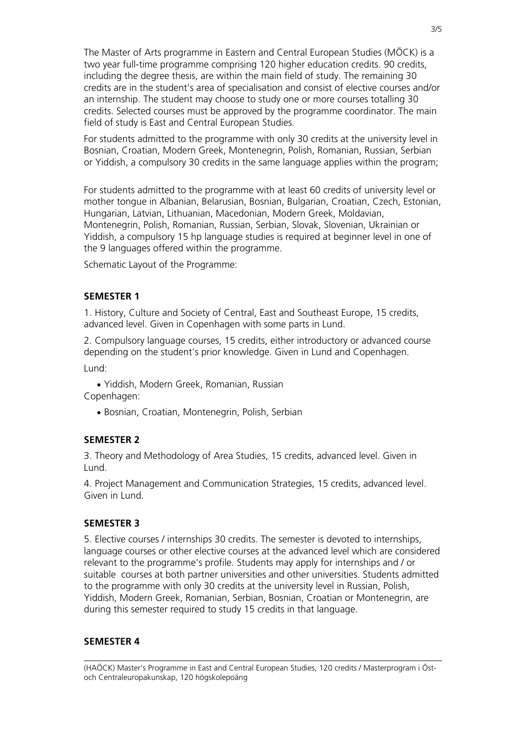The Master of Arts programme in Eastern and Central European Studies (MÖCK) is a two year full-time programme comprising 120 higher education credits. 90 credits, including the degree thesis, are within the main field of study. The remaining 30 credits are in the student's area of specialisation and consist of elective courses and/or an internship. The student may choose to study one or more courses totalling 30 credits. Selected courses must be approved by the programme coordinator. The main field of study is East and Central European Studies.

For students admitted to the programme with only 30 credits at the university level in Bosnian, Croatian, Modern Greek, Montenegrin, Polish, Romanian, Russian, Serbian or Yiddish, a compulsory 30 credits in the same language applies within the program;

For students admitted to the programme with at least 60 credits of university level or mother tongue in Albanian, Belarusian, Bosnian, Bulgarian, Croatian, Czech, Estonian, Hungarian, Latvian, Lithuanian, Macedonian, Modern Greek, Moldavian, Montenegrin, Polish, Romanian, Russian, Serbian, Slovak, Slovenian, Ukrainian or Yiddish, a compulsory 15 hp language studies is required at beginner level in one of the 9 languages offered within the programme.

Schematic Layout of the Programme:

#### **SEMESTER 1**

1. History, Culture and Society of Central, East and Southeast Europe, 15 credits, advanced level. Given in Copenhagen with some parts in Lund.

2. Compulsory language courses, 15 credits, either introductory or advanced course depending on the student's prior knowledge. Given in Lund and Copenhagen.

Lund:

• Yiddish, Modern Greek, Romanian, Russian Copenhagen:

• Bosnian, Croatian, Montenegrin, Polish, Serbian

#### **SEMESTER 2**

3. Theory and Methodology of Area Studies, 15 credits, advanced level. Given in Lund.

4. Project Management and Communication Strategies, 15 credits, advanced level. Given in Lund.

#### **SEMESTER 3**

5. Elective courses / internships 30 credits. The semester is devoted to internships, language courses or other elective courses at the advanced level which are considered relevant to the programme's profile. Students may apply for internships and / or suitable courses at both partner universities and other universities. Students admitted to the programme with only 30 credits at the university level in Russian, Polish, Yiddish, Modern Greek, Romanian, Serbian, Bosnian, Croatian or Montenegrin, are during this semester required to study 15 credits in that language.

#### **SEMESTER 4**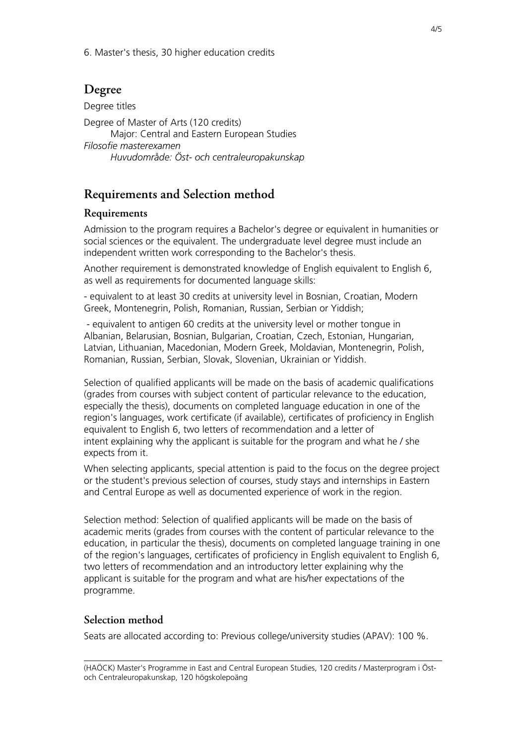6. Master's thesis, 30 higher education credits

## **Degree**

Degree titles Degree of Master of Arts (120 credits) Major: Central and Eastern European Studies *Filosofie masterexamen Huvudområde: Öst- och centraleuropakunskap*

# **Requirements and Selection method**

### **Requirements**

Admission to the program requires a Bachelor's degree or equivalent in humanities or social sciences or the equivalent. The undergraduate level degree must include an independent written work corresponding to the Bachelor's thesis.

Another requirement is demonstrated knowledge of English equivalent to English 6, as well as requirements for documented language skills:

- equivalent to at least 30 credits at university level in Bosnian, Croatian, Modern Greek, Montenegrin, Polish, Romanian, Russian, Serbian or Yiddish;

 - equivalent to antigen 60 credits at the university level or mother tongue in Albanian, Belarusian, Bosnian, Bulgarian, Croatian, Czech, Estonian, Hungarian, Latvian, Lithuanian, Macedonian, Modern Greek, Moldavian, Montenegrin, Polish, Romanian, Russian, Serbian, Slovak, Slovenian, Ukrainian or Yiddish.

Selection of qualified applicants will be made on the basis of academic qualifications (grades from courses with subject content of particular relevance to the education, especially the thesis), documents on completed language education in one of the region's languages, work certificate (if available), certificates of proficiency in English equivalent to English 6, two letters of recommendation and a letter of intent explaining why the applicant is suitable for the program and what he / she expects from it.

When selecting applicants, special attention is paid to the focus on the degree project or the student's previous selection of courses, study stays and internships in Eastern and Central Europe as well as documented experience of work in the region.

Selection method: Selection of qualified applicants will be made on the basis of academic merits (grades from courses with the content of particular relevance to the education, in particular the thesis), documents on completed language training in one of the region's languages, certificates of proficiency in English equivalent to English 6, two letters of recommendation and an introductory letter explaining why the applicant is suitable for the program and what are his/her expectations of the programme.

### **Selection method**

Seats are allocated according to: Previous college/university studies (APAV): 100 %.